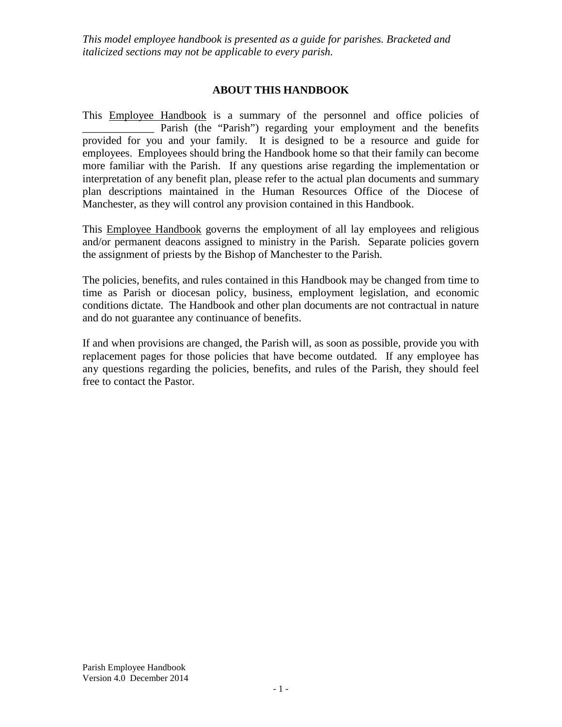## **ABOUT THIS HANDBOOK**

This **Employee Handbook** is a summary of the personnel and office policies of Parish (the "Parish") regarding your employment and the benefits provided for you and your family. It is designed to be a resource and guide for employees. Employees should bring the Handbook home so that their family can become more familiar with the Parish. If any questions arise regarding the implementation or interpretation of any benefit plan, please refer to the actual plan documents and summary plan descriptions maintained in the Human Resources Office of the Diocese of Manchester, as they will control any provision contained in this Handbook.

This Employee Handbook governs the employment of all lay employees and religious and/or permanent deacons assigned to ministry in the Parish. Separate policies govern the assignment of priests by the Bishop of Manchester to the Parish.

The policies, benefits, and rules contained in this Handbook may be changed from time to time as Parish or diocesan policy, business, employment legislation, and economic conditions dictate. The Handbook and other plan documents are not contractual in nature and do not guarantee any continuance of benefits.

If and when provisions are changed, the Parish will, as soon as possible, provide you with replacement pages for those policies that have become outdated. If any employee has any questions regarding the policies, benefits, and rules of the Parish, they should feel free to contact the Pastor.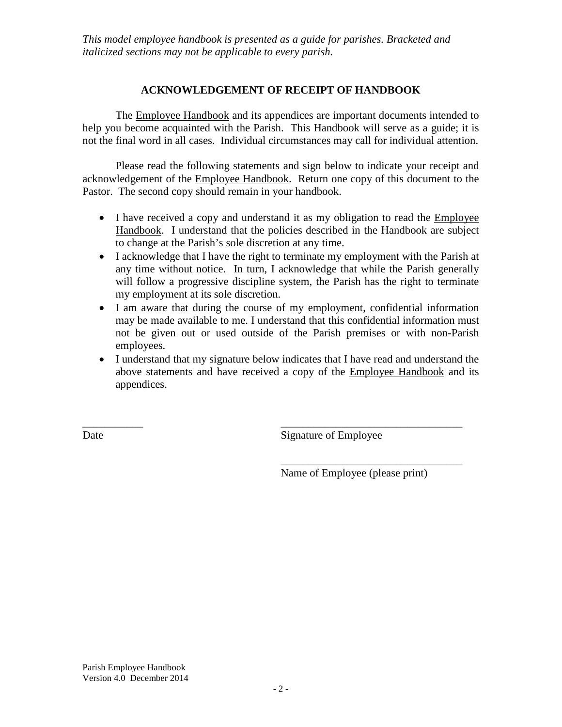### **ACKNOWLEDGEMENT OF RECEIPT OF HANDBOOK**

The Employee Handbook and its appendices are important documents intended to help you become acquainted with the Parish. This Handbook will serve as a guide; it is not the final word in all cases. Individual circumstances may call for individual attention.

Please read the following statements and sign below to indicate your receipt and acknowledgement of the Employee Handbook. Return one copy of this document to the Pastor. The second copy should remain in your handbook.

- I have received a copy and understand it as my obligation to read the Employee Handbook. I understand that the policies described in the Handbook are subject to change at the Parish's sole discretion at any time.
- I acknowledge that I have the right to terminate my employment with the Parish at any time without notice. In turn, I acknowledge that while the Parish generally will follow a progressive discipline system, the Parish has the right to terminate my employment at its sole discretion.
- I am aware that during the course of my employment, confidential information may be made available to me. I understand that this confidential information must not be given out or used outside of the Parish premises or with non-Parish employees.
- I understand that my signature below indicates that I have read and understand the above statements and have received a copy of the Employee Handbook and its appendices.

 $\overline{\phantom{a}}$  , and the contract of the contract of the contract of the contract of the contract of the contract of the contract of the contract of the contract of the contract of the contract of the contract of the contrac

Date Signature of Employee

\_\_\_\_\_\_\_\_\_\_\_\_\_\_\_\_\_\_\_\_\_\_\_\_\_\_\_\_\_\_\_\_\_ Name of Employee (please print)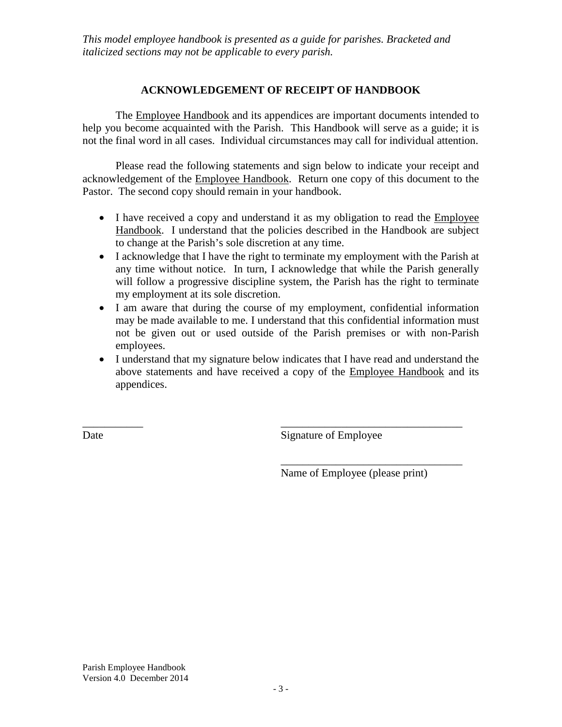### **ACKNOWLEDGEMENT OF RECEIPT OF HANDBOOK**

The Employee Handbook and its appendices are important documents intended to help you become acquainted with the Parish. This Handbook will serve as a guide; it is not the final word in all cases. Individual circumstances may call for individual attention.

Please read the following statements and sign below to indicate your receipt and acknowledgement of the Employee Handbook. Return one copy of this document to the Pastor. The second copy should remain in your handbook.

- I have received a copy and understand it as my obligation to read the Employee Handbook. I understand that the policies described in the Handbook are subject to change at the Parish's sole discretion at any time.
- I acknowledge that I have the right to terminate my employment with the Parish at any time without notice. In turn, I acknowledge that while the Parish generally will follow a progressive discipline system, the Parish has the right to terminate my employment at its sole discretion.
- I am aware that during the course of my employment, confidential information may be made available to me. I understand that this confidential information must not be given out or used outside of the Parish premises or with non-Parish employees.
- I understand that my signature below indicates that I have read and understand the above statements and have received a copy of the Employee Handbook and its appendices.

 $\overline{\phantom{a}}$  , and the contract of the contract of the contract of the contract of the contract of the contract of the contract of the contract of the contract of the contract of the contract of the contract of the contrac

Date Signature of Employee

\_\_\_\_\_\_\_\_\_\_\_\_\_\_\_\_\_\_\_\_\_\_\_\_\_\_\_\_\_\_\_\_\_ Name of Employee (please print)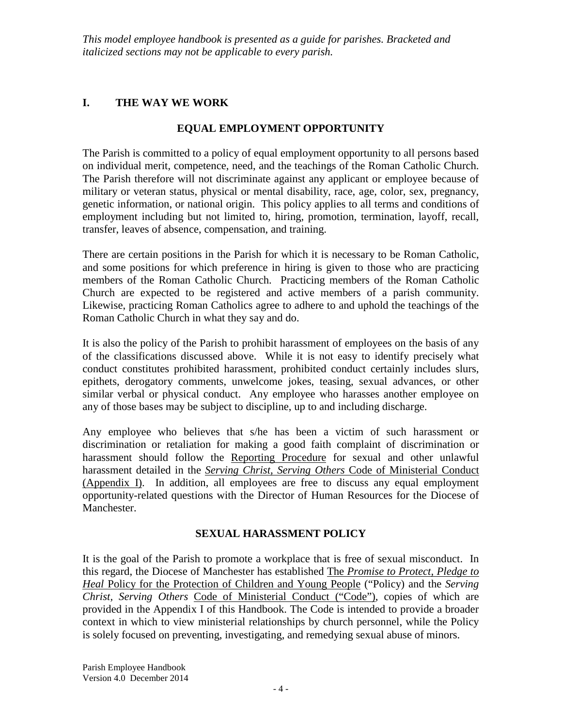# **I. THE WAY WE WORK**

# **EQUAL EMPLOYMENT OPPORTUNITY**

The Parish is committed to a policy of equal employment opportunity to all persons based on individual merit, competence, need, and the teachings of the Roman Catholic Church. The Parish therefore will not discriminate against any applicant or employee because of military or veteran status, physical or mental disability, race, age, color, sex, pregnancy, genetic information, or national origin. This policy applies to all terms and conditions of employment including but not limited to, hiring, promotion, termination, layoff, recall, transfer, leaves of absence, compensation, and training.

There are certain positions in the Parish for which it is necessary to be Roman Catholic, and some positions for which preference in hiring is given to those who are practicing members of the Roman Catholic Church. Practicing members of the Roman Catholic Church are expected to be registered and active members of a parish community. Likewise, practicing Roman Catholics agree to adhere to and uphold the teachings of the Roman Catholic Church in what they say and do.

It is also the policy of the Parish to prohibit harassment of employees on the basis of any of the classifications discussed above. While it is not easy to identify precisely what conduct constitutes prohibited harassment, prohibited conduct certainly includes slurs, epithets, derogatory comments, unwelcome jokes, teasing, sexual advances, or other similar verbal or physical conduct. Any employee who harasses another employee on any of those bases may be subject to discipline, up to and including discharge.

Any employee who believes that s/he has been a victim of such harassment or discrimination or retaliation for making a good faith complaint of discrimination or harassment should follow the Reporting Procedure for sexual and other unlawful harassment detailed in the *Serving Christ, Serving Others* Code of Ministerial Conduct (Appendix I). In addition, all employees are free to discuss any equal employment opportunity-related questions with the Director of Human Resources for the Diocese of Manchester.

# **SEXUAL HARASSMENT POLICY**

It is the goal of the Parish to promote a workplace that is free of sexual misconduct. In this regard, the Diocese of Manchester has established The *Promise to Protect, Pledge to Heal* Policy for the Protection of Children and Young People ("Policy) and the *Serving Christ, Serving Others* Code of Ministerial Conduct ("Code"), copies of which are provided in the Appendix I of this Handbook. The Code is intended to provide a broader context in which to view ministerial relationships by church personnel, while the Policy is solely focused on preventing, investigating, and remedying sexual abuse of minors.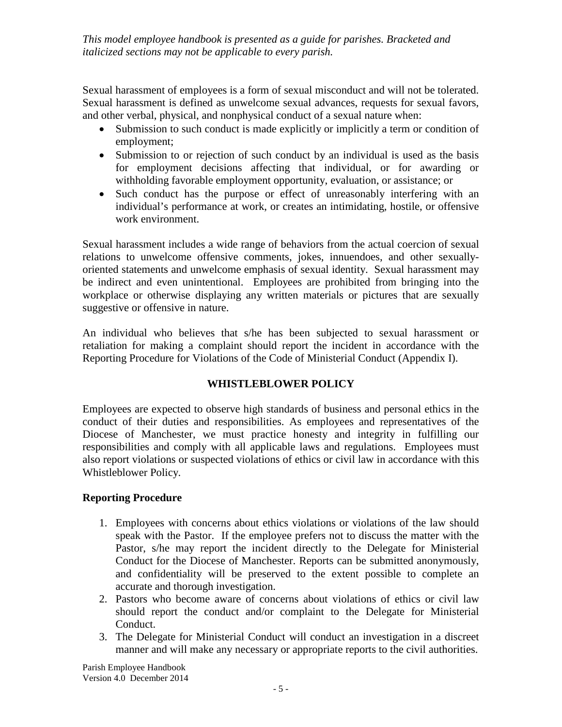Sexual harassment of employees is a form of sexual misconduct and will not be tolerated. Sexual harassment is defined as unwelcome sexual advances, requests for sexual favors, and other verbal, physical, and nonphysical conduct of a sexual nature when:

- Submission to such conduct is made explicitly or implicitly a term or condition of employment;
- Submission to or rejection of such conduct by an individual is used as the basis for employment decisions affecting that individual, or for awarding or withholding favorable employment opportunity, evaluation, or assistance; or
- Such conduct has the purpose or effect of unreasonably interfering with an individual's performance at work, or creates an intimidating, hostile, or offensive work environment.

Sexual harassment includes a wide range of behaviors from the actual coercion of sexual relations to unwelcome offensive comments, jokes, innuendoes, and other sexuallyoriented statements and unwelcome emphasis of sexual identity. Sexual harassment may be indirect and even unintentional. Employees are prohibited from bringing into the workplace or otherwise displaying any written materials or pictures that are sexually suggestive or offensive in nature.

An individual who believes that s/he has been subjected to sexual harassment or retaliation for making a complaint should report the incident in accordance with the Reporting Procedure for Violations of the Code of Ministerial Conduct (Appendix I).

# **WHISTLEBLOWER POLICY**

Employees are expected to observe high standards of business and personal ethics in the conduct of their duties and responsibilities. As employees and representatives of the Diocese of Manchester, we must practice honesty and integrity in fulfilling our responsibilities and comply with all applicable laws and regulations. Employees must also report violations or suspected violations of ethics or civil law in accordance with this Whistleblower Policy.

# **Reporting Procedure**

- 1. Employees with concerns about ethics violations or violations of the law should speak with the Pastor. If the employee prefers not to discuss the matter with the Pastor, s/he may report the incident directly to the Delegate for Ministerial Conduct for the Diocese of Manchester. Reports can be submitted anonymously, and confidentiality will be preserved to the extent possible to complete an accurate and thorough investigation.
- 2. Pastors who become aware of concerns about violations of ethics or civil law should report the conduct and/or complaint to the Delegate for Ministerial Conduct.
- 3. The Delegate for Ministerial Conduct will conduct an investigation in a discreet manner and will make any necessary or appropriate reports to the civil authorities.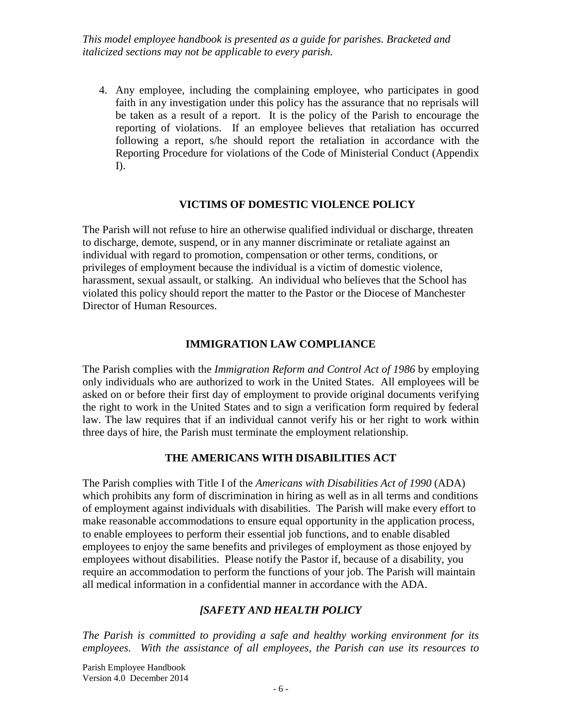4. Any employee, including the complaining employee, who participates in good faith in any investigation under this policy has the assurance that no reprisals will be taken as a result of a report. It is the policy of the Parish to encourage the reporting of violations. If an employee believes that retaliation has occurred following a report, s/he should report the retaliation in accordance with the Reporting Procedure for violations of the Code of Ministerial Conduct (Appendix I).

### **VICTIMS OF DOMESTIC VIOLENCE POLICY**

The Parish will not refuse to hire an otherwise qualified individual or discharge, threaten to discharge, demote, suspend, or in any manner discriminate or retaliate against an individual with regard to promotion, compensation or other terms, conditions, or privileges of employment because the individual is a victim of domestic violence, harassment, sexual assault, or stalking. An individual who believes that the School has violated this policy should report the matter to the Pastor or the Diocese of Manchester Director of Human Resources.

### **IMMIGRATION LAW COMPLIANCE**

The Parish complies with the *Immigration Reform and Control Act of 1986* by employing only individuals who are authorized to work in the United States. All employees will be asked on or before their first day of employment to provide original documents verifying the right to work in the United States and to sign a verification form required by federal law. The law requires that if an individual cannot verify his or her right to work within three days of hire, the Parish must terminate the employment relationship.

#### **THE AMERICANS WITH DISABILITIES ACT**

The Parish complies with Title I of the *Americans with Disabilities Act of 1990* (ADA) which prohibits any form of discrimination in hiring as well as in all terms and conditions of employment against individuals with disabilities. The Parish will make every effort to make reasonable accommodations to ensure equal opportunity in the application process, to enable employees to perform their essential job functions, and to enable disabled employees to enjoy the same benefits and privileges of employment as those enjoyed by employees without disabilities. Please notify the Pastor if, because of a disability, you require an accommodation to perform the functions of your job. The Parish will maintain all medical information in a confidential manner in accordance with the ADA.

#### *[SAFETY AND HEALTH POLICY*

*The Parish is committed to providing a safe and healthy working environment for its employees. With the assistance of all employees, the Parish can use its resources to*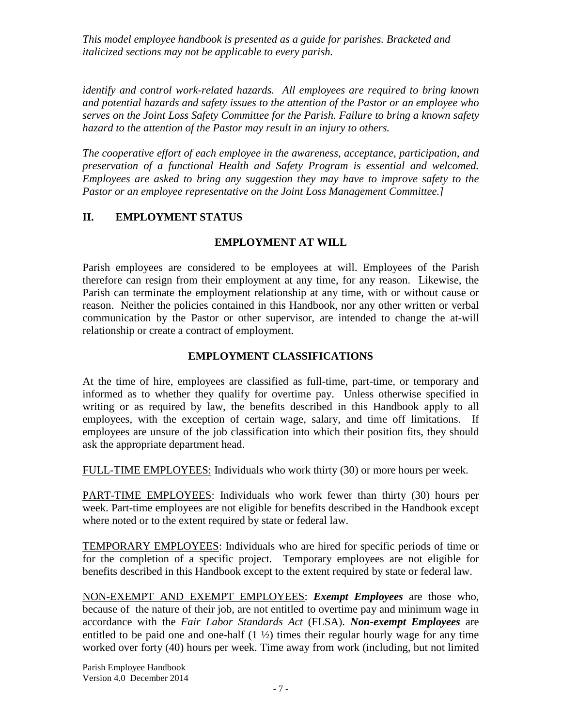*identify and control work-related hazards. All employees are required to bring known and potential hazards and safety issues to the attention of the Pastor or an employee who serves on the Joint Loss Safety Committee for the Parish. Failure to bring a known safety hazard to the attention of the Pastor may result in an injury to others.*

*The cooperative effort of each employee in the awareness, acceptance, participation, and preservation of a functional Health and Safety Program is essential and welcomed. Employees are asked to bring any suggestion they may have to improve safety to the Pastor or an employee representative on the Joint Loss Management Committee.]*

# **II. EMPLOYMENT STATUS**

## **EMPLOYMENT AT WILL**

Parish employees are considered to be employees at will. Employees of the Parish therefore can resign from their employment at any time, for any reason. Likewise, the Parish can terminate the employment relationship at any time, with or without cause or reason. Neither the policies contained in this Handbook, nor any other written or verbal communication by the Pastor or other supervisor, are intended to change the at-will relationship or create a contract of employment.

## **EMPLOYMENT CLASSIFICATIONS**

At the time of hire, employees are classified as full-time, part-time, or temporary and informed as to whether they qualify for overtime pay. Unless otherwise specified in writing or as required by law, the benefits described in this Handbook apply to all employees, with the exception of certain wage, salary, and time off limitations. If employees are unsure of the job classification into which their position fits, they should ask the appropriate department head.

FULL-TIME EMPLOYEES: Individuals who work thirty (30) or more hours per week.

PART-TIME EMPLOYEES: Individuals who work fewer than thirty (30) hours per week. Part-time employees are not eligible for benefits described in the Handbook except where noted or to the extent required by state or federal law.

TEMPORARY EMPLOYEES: Individuals who are hired for specific periods of time or for the completion of a specific project. Temporary employees are not eligible for benefits described in this Handbook except to the extent required by state or federal law.

NON-EXEMPT AND EXEMPT EMPLOYEES: *Exempt Employees* are those who, because of the nature of their job, are not entitled to overtime pay and minimum wage in accordance with the *Fair Labor Standards Act* (FLSA). *Non-exempt Employees* are entitled to be paid one and one-half  $(1 \frac{1}{2})$  times their regular hourly wage for any time worked over forty (40) hours per week. Time away from work (including, but not limited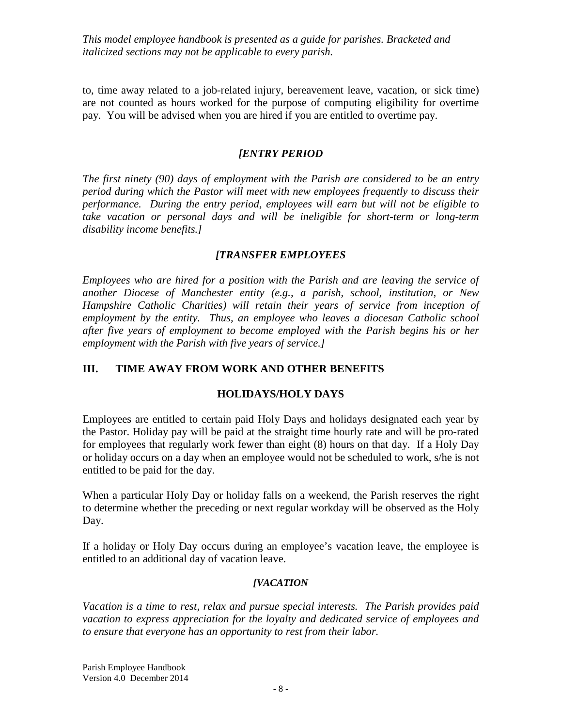to, time away related to a job-related injury, bereavement leave, vacation, or sick time) are not counted as hours worked for the purpose of computing eligibility for overtime pay. You will be advised when you are hired if you are entitled to overtime pay.

### *[ENTRY PERIOD*

*The first ninety (90) days of employment with the Parish are considered to be an entry period during which the Pastor will meet with new employees frequently to discuss their performance. During the entry period, employees will earn but will not be eligible to take vacation or personal days and will be ineligible for short-term or long-term disability income benefits.]*

### *[TRANSFER EMPLOYEES*

*Employees who are hired for a position with the Parish and are leaving the service of another Diocese of Manchester entity (e.g., a parish, school, institution, or New Hampshire Catholic Charities) will retain their years of service from inception of employment by the entity. Thus, an employee who leaves a diocesan Catholic school after five years of employment to become employed with the Parish begins his or her employment with the Parish with five years of service.]*

## **III. TIME AWAY FROM WORK AND OTHER BENEFITS**

## **HOLIDAYS/HOLY DAYS**

Employees are entitled to certain paid Holy Days and holidays designated each year by the Pastor. Holiday pay will be paid at the straight time hourly rate and will be pro-rated for employees that regularly work fewer than eight (8) hours on that day. If a Holy Day or holiday occurs on a day when an employee would not be scheduled to work, s/he is not entitled to be paid for the day.

When a particular Holy Day or holiday falls on a weekend, the Parish reserves the right to determine whether the preceding or next regular workday will be observed as the Holy Day.

If a holiday or Holy Day occurs during an employee's vacation leave, the employee is entitled to an additional day of vacation leave.

## *[VACATION*

*Vacation is a time to rest, relax and pursue special interests. The Parish provides paid vacation to express appreciation for the loyalty and dedicated service of employees and to ensure that everyone has an opportunity to rest from their labor.*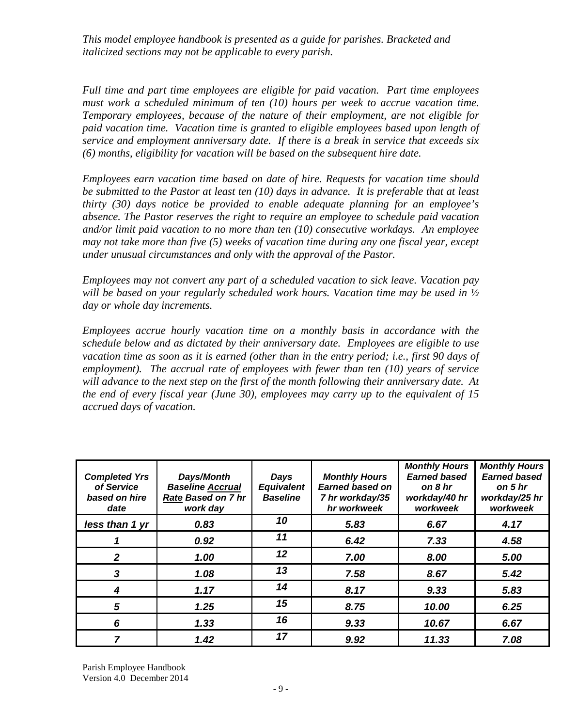*Full time and part time employees are eligible for paid vacation. Part time employees must work a scheduled minimum of ten (10) hours per week to accrue vacation time. Temporary employees, because of the nature of their employment, are not eligible for paid vacation time. Vacation time is granted to eligible employees based upon length of service and employment anniversary date. If there is a break in service that exceeds six (6) months, eligibility for vacation will be based on the subsequent hire date.* 

*Employees earn vacation time based on date of hire. Requests for vacation time should be submitted to the Pastor at least ten (10) days in advance. It is preferable that at least thirty (30) days notice be provided to enable adequate planning for an employee's absence. The Pastor reserves the right to require an employee to schedule paid vacation and/or limit paid vacation to no more than ten (10) consecutive workdays. An employee may not take more than five (5) weeks of vacation time during any one fiscal year, except under unusual circumstances and only with the approval of the Pastor.*

*Employees may not convert any part of a scheduled vacation to sick leave. Vacation pay will be based on your regularly scheduled work hours. Vacation time may be used in ½ day or whole day increments.* 

*Employees accrue hourly vacation time on a monthly basis in accordance with the schedule below and as dictated by their anniversary date. Employees are eligible to use vacation time as soon as it is earned (other than in the entry period; i.e., first 90 days of employment). The accrual rate of employees with fewer than ten (10) years of service will advance to the next step on the first of the month following their anniversary date. At the end of every fiscal year (June 30), employees may carry up to the equivalent of 15 accrued days of vacation.* 

| <b>Completed Yrs</b><br>of Service<br>based on hire<br>date | Days/Month<br><b>Baseline Accrual</b><br><b>Rate Based on 7 hr</b><br>work day | Days<br><b>Equivalent</b><br><b>Baseline</b> | <b>Monthly Hours</b><br><b>Earned based on</b><br>7 hr workday/35<br>hr workweek | <b>Monthly Hours</b><br><b>Earned based</b><br>on 8 hr<br>workday/40 hr<br>workweek | <b>Monthly Hours</b><br><b>Earned based</b><br>on 5 hr<br>workday/25 hr<br>workweek |
|-------------------------------------------------------------|--------------------------------------------------------------------------------|----------------------------------------------|----------------------------------------------------------------------------------|-------------------------------------------------------------------------------------|-------------------------------------------------------------------------------------|
| less than 1 yr                                              | 0.83                                                                           | 10                                           | 5.83                                                                             | 6.67                                                                                | 4.17                                                                                |
|                                                             | 0.92                                                                           | 11                                           | 6.42                                                                             | 7.33                                                                                | 4.58                                                                                |
| 2                                                           | 1.00                                                                           | 12                                           | 7.00                                                                             | 8.00                                                                                | 5.00                                                                                |
| 3                                                           | 1.08                                                                           | 13                                           | 7.58                                                                             | 8.67                                                                                | 5.42                                                                                |
| 4                                                           | 1.17                                                                           | 14                                           | 8.17                                                                             | 9.33                                                                                | 5.83                                                                                |
| 5                                                           | 1.25                                                                           | 15                                           | 8.75                                                                             | 10.00                                                                               | 6.25                                                                                |
| 6                                                           | 1.33                                                                           | 16                                           | 9.33                                                                             | 10.67                                                                               | 6.67                                                                                |
| 7                                                           | 1.42                                                                           | 17                                           | 9.92                                                                             | 11.33                                                                               | 7.08                                                                                |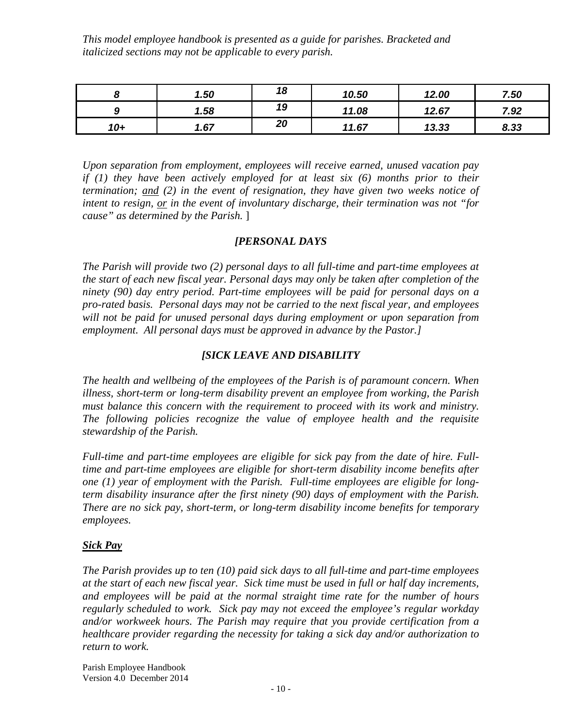|        | 1.50 | 18 | 10.50 | 12.00 | 7.50 |
|--------|------|----|-------|-------|------|
| c<br>ч | 1.58 | 19 | 11.08 | 12.67 | 7.92 |
| $10+$  | 1.67 | 20 | 11.67 | 13.33 | 8.33 |

*Upon separation from employment, employees will receive earned, unused vacation pay if (1) they have been actively employed for at least six (6) months prior to their termination; and (2) in the event of resignation, they have given two weeks notice of intent to resign, or in the event of involuntary discharge, their termination was not "for cause" as determined by the Parish.* ]

### *[PERSONAL DAYS*

*The Parish will provide two (2) personal days to all full-time and part-time employees at the start of each new fiscal year. Personal days may only be taken after completion of the ninety (90) day entry period. Part-time employees will be paid for personal days on a pro-rated basis. Personal days may not be carried to the next fiscal year, and employees will not be paid for unused personal days during employment or upon separation from employment. All personal days must be approved in advance by the Pastor.]*

## *[SICK LEAVE AND DISABILITY*

*The health and wellbeing of the employees of the Parish is of paramount concern. When illness, short-term or long-term disability prevent an employee from working, the Parish must balance this concern with the requirement to proceed with its work and ministry. The following policies recognize the value of employee health and the requisite stewardship of the Parish.*

*Full-time and part-time employees are eligible for sick pay from the date of hire. Fulltime and part-time employees are eligible for short-term disability income benefits after one (1) year of employment with the Parish. Full-time employees are eligible for longterm disability insurance after the first ninety (90) days of employment with the Parish. There are no sick pay, short-term, or long-term disability income benefits for temporary employees.*

#### *Sick Pay*

*The Parish provides up to ten (10) paid sick days to all full-time and part-time employees at the start of each new fiscal year. Sick time must be used in full or half day increments, and employees will be paid at the normal straight time rate for the number of hours regularly scheduled to work. Sick pay may not exceed the employee's regular workday and/or workweek hours. The Parish may require that you provide certification from a healthcare provider regarding the necessity for taking a sick day and/or authorization to return to work.*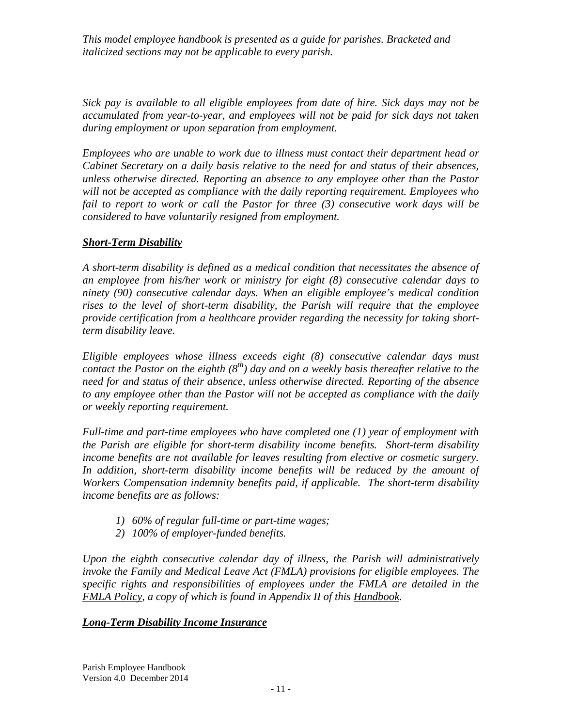*Sick pay is available to all eligible employees from date of hire. Sick days may not be accumulated from year-to-year, and employees will not be paid for sick days not taken during employment or upon separation from employment.*

*Employees who are unable to work due to illness must contact their department head or Cabinet Secretary on a daily basis relative to the need for and status of their absences, unless otherwise directed. Reporting an absence to any employee other than the Pastor will not be accepted as compliance with the daily reporting requirement. Employees who fail to report to work or call the Pastor for three (3) consecutive work days will be considered to have voluntarily resigned from employment.*

# *Short-Term Disability*

*A short-term disability is defined as a medical condition that necessitates the absence of an employee from his/her work or ministry for eight (8) consecutive calendar days to ninety (90) consecutive calendar days. When an eligible employee's medical condition rises to the level of short-term disability, the Parish will require that the employee provide certification from a healthcare provider regarding the necessity for taking shortterm disability leave.*

*Eligible employees whose illness exceeds eight (8) consecutive calendar days must contact the Pastor on the eighth (8th) day and on a weekly basis thereafter relative to the need for and status of their absence, unless otherwise directed. Reporting of the absence to any employee other than the Pastor will not be accepted as compliance with the daily or weekly reporting requirement.*

*Full-time and part-time employees who have completed one (1) year of employment with the Parish are eligible for short-term disability income benefits. Short-term disability income benefits are not available for leaves resulting from elective or cosmetic surgery.*  In addition, short-term disability income benefits will be reduced by the amount of *Workers Compensation indemnity benefits paid, if applicable. The short-term disability income benefits are as follows:*

- *1) 60% of regular full-time or part-time wages;*
- *2) 100% of employer-funded benefits.*

*Upon the eighth consecutive calendar day of illness, the Parish will administratively invoke the Family and Medical Leave Act (FMLA) provisions for eligible employees. The specific rights and responsibilities of employees under the FMLA are detailed in the FMLA Policy, a copy of which is found in Appendix II of this Handbook.* 

## *Long-Term Disability Income Insurance*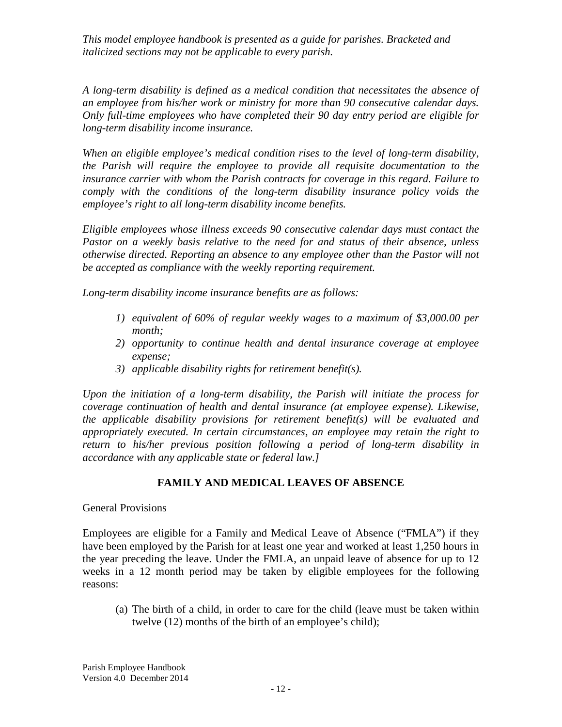*A long-term disability is defined as a medical condition that necessitates the absence of an employee from his/her work or ministry for more than 90 consecutive calendar days. Only full-time employees who have completed their 90 day entry period are eligible for long-term disability income insurance.*

*When an eligible employee's medical condition rises to the level of long-term disability, the Parish will require the employee to provide all requisite documentation to the insurance carrier with whom the Parish contracts for coverage in this regard. Failure to comply with the conditions of the long-term disability insurance policy voids the employee's right to all long-term disability income benefits.*

*Eligible employees whose illness exceeds 90 consecutive calendar days must contact the Pastor on a weekly basis relative to the need for and status of their absence, unless otherwise directed. Reporting an absence to any employee other than the Pastor will not be accepted as compliance with the weekly reporting requirement.* 

*Long-term disability income insurance benefits are as follows:*

- *1) equivalent of 60% of regular weekly wages to a maximum of \$3,000.00 per month;*
- *2) opportunity to continue health and dental insurance coverage at employee expense;*
- *3) applicable disability rights for retirement benefit(s).*

*Upon the initiation of a long-term disability, the Parish will initiate the process for coverage continuation of health and dental insurance (at employee expense). Likewise, the applicable disability provisions for retirement benefit(s) will be evaluated and appropriately executed. In certain circumstances, an employee may retain the right to return to his/her previous position following a period of long-term disability in accordance with any applicable state or federal law.]*

# **FAMILY AND MEDICAL LEAVES OF ABSENCE**

## General Provisions

Employees are eligible for a Family and Medical Leave of Absence ("FMLA") if they have been employed by the Parish for at least one year and worked at least 1,250 hours in the year preceding the leave. Under the FMLA, an unpaid leave of absence for up to 12 weeks in a 12 month period may be taken by eligible employees for the following reasons:

(a) The birth of a child, in order to care for the child (leave must be taken within twelve (12) months of the birth of an employee's child);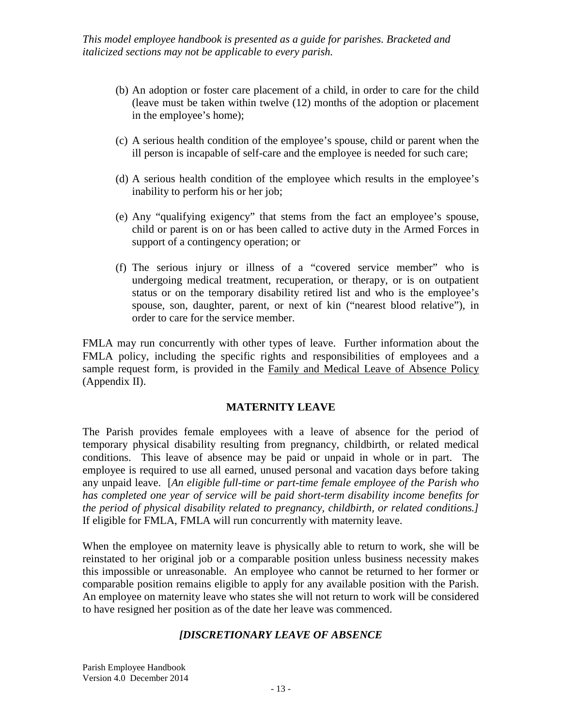- (b) An adoption or foster care placement of a child, in order to care for the child (leave must be taken within twelve (12) months of the adoption or placement in the employee's home);
- (c) A serious health condition of the employee's spouse, child or parent when the ill person is incapable of self-care and the employee is needed for such care;
- (d) A serious health condition of the employee which results in the employee's inability to perform his or her job;
- (e) Any "qualifying exigency" that stems from the fact an employee's spouse, child or parent is on or has been called to active duty in the Armed Forces in support of a contingency operation; or
- (f) The serious injury or illness of a "covered service member" who is undergoing medical treatment, recuperation, or therapy, or is on outpatient status or on the temporary disability retired list and who is the employee's spouse, son, daughter, parent, or next of kin ("nearest blood relative"), in order to care for the service member.

FMLA may run concurrently with other types of leave. Further information about the FMLA policy, including the specific rights and responsibilities of employees and a sample request form, is provided in the Family and Medical Leave of Absence Policy (Appendix II).

## **MATERNITY LEAVE**

The Parish provides female employees with a leave of absence for the period of temporary physical disability resulting from pregnancy, childbirth, or related medical conditions. This leave of absence may be paid or unpaid in whole or in part. The employee is required to use all earned, unused personal and vacation days before taking any unpaid leave. [*An eligible full-time or part-time female employee of the Parish who has completed one year of service will be paid short-term disability income benefits for the period of physical disability related to pregnancy, childbirth, or related conditions.]* If eligible for FMLA, FMLA will run concurrently with maternity leave.

When the employee on maternity leave is physically able to return to work, she will be reinstated to her original job or a comparable position unless business necessity makes this impossible or unreasonable. An employee who cannot be returned to her former or comparable position remains eligible to apply for any available position with the Parish. An employee on maternity leave who states she will not return to work will be considered to have resigned her position as of the date her leave was commenced.

## *[DISCRETIONARY LEAVE OF ABSENCE*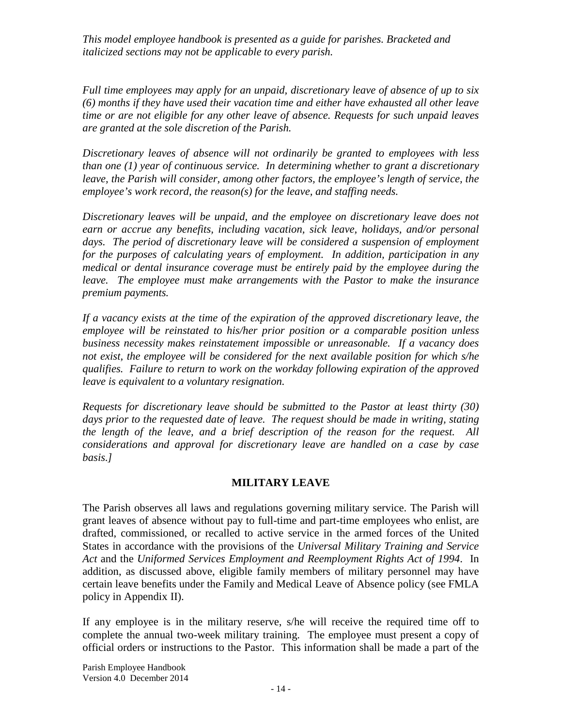*Full time employees may apply for an unpaid, discretionary leave of absence of up to six (6) months if they have used their vacation time and either have exhausted all other leave time or are not eligible for any other leave of absence. Requests for such unpaid leaves are granted at the sole discretion of the Parish.*

*Discretionary leaves of absence will not ordinarily be granted to employees with less than one (1) year of continuous service. In determining whether to grant a discretionary leave, the Parish will consider, among other factors, the employee's length of service, the employee's work record, the reason(s) for the leave, and staffing needs.*

*Discretionary leaves will be unpaid, and the employee on discretionary leave does not earn or accrue any benefits, including vacation, sick leave, holidays, and/or personal*  days. The period of discretionary leave will be considered a suspension of employment *for the purposes of calculating years of employment. In addition, participation in any medical or dental insurance coverage must be entirely paid by the employee during the leave. The employee must make arrangements with the Pastor to make the insurance premium payments.* 

*If a vacancy exists at the time of the expiration of the approved discretionary leave, the employee will be reinstated to his/her prior position or a comparable position unless business necessity makes reinstatement impossible or unreasonable. If a vacancy does not exist, the employee will be considered for the next available position for which s/he qualifies. Failure to return to work on the workday following expiration of the approved leave is equivalent to a voluntary resignation.*

*Requests for discretionary leave should be submitted to the Pastor at least thirty (30)*  days prior to the requested date of leave. The request should be made in writing, stating *the length of the leave, and a brief description of the reason for the request. All considerations and approval for discretionary leave are handled on a case by case basis.]*

## **MILITARY LEAVE**

The Parish observes all laws and regulations governing military service. The Parish will grant leaves of absence without pay to full-time and part-time employees who enlist, are drafted, commissioned, or recalled to active service in the armed forces of the United States in accordance with the provisions of the *Universal Military Training and Service Act* and the *Uniformed Services Employment and Reemployment Rights Act of 1994*. In addition, as discussed above, eligible family members of military personnel may have certain leave benefits under the Family and Medical Leave of Absence policy (see FMLA policy in Appendix II).

If any employee is in the military reserve, s/he will receive the required time off to complete the annual two-week military training. The employee must present a copy of official orders or instructions to the Pastor. This information shall be made a part of the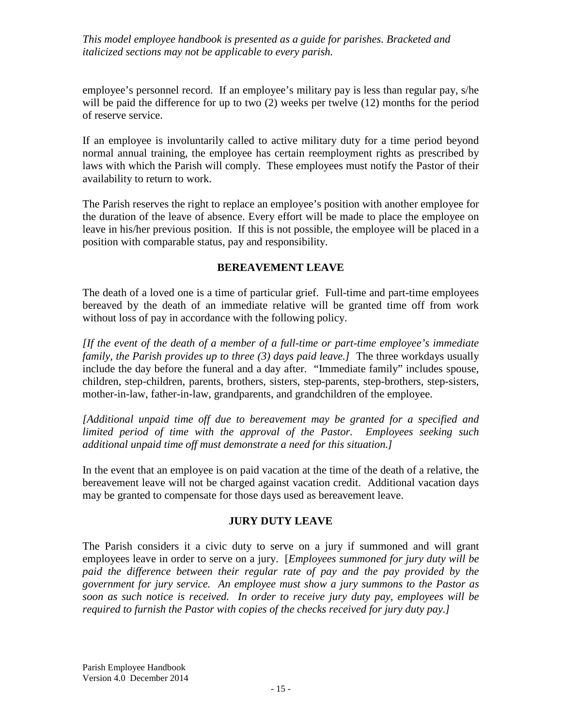employee's personnel record. If an employee's military pay is less than regular pay, s/he will be paid the difference for up to two (2) weeks per twelve (12) months for the period of reserve service.

If an employee is involuntarily called to active military duty for a time period beyond normal annual training, the employee has certain reemployment rights as prescribed by laws with which the Parish will comply. These employees must notify the Pastor of their availability to return to work.

The Parish reserves the right to replace an employee's position with another employee for the duration of the leave of absence. Every effort will be made to place the employee on leave in his/her previous position. If this is not possible, the employee will be placed in a position with comparable status, pay and responsibility.

## **BEREAVEMENT LEAVE**

The death of a loved one is a time of particular grief. Full-time and part-time employees bereaved by the death of an immediate relative will be granted time off from work without loss of pay in accordance with the following policy.

*[If the event of the death of a member of a full-time or part-time employee's immediate family, the Parish provides up to three (3) days paid leave.]* The three workdays usually include the day before the funeral and a day after. "Immediate family" includes spouse, children, step-children, parents, brothers, sisters, step-parents, step-brothers, step-sisters, mother-in-law, father-in-law, grandparents, and grandchildren of the employee.

*[Additional unpaid time off due to bereavement may be granted for a specified and limited period of time with the approval of the Pastor. Employees seeking such additional unpaid time off must demonstrate a need for this situation.]*

In the event that an employee is on paid vacation at the time of the death of a relative, the bereavement leave will not be charged against vacation credit. Additional vacation days may be granted to compensate for those days used as bereavement leave.

## **JURY DUTY LEAVE**

The Parish considers it a civic duty to serve on a jury if summoned and will grant employees leave in order to serve on a jury. [*Employees summoned for jury duty will be*  paid the difference between their regular rate of pay and the pay provided by the *government for jury service. An employee must show a jury summons to the Pastor as soon as such notice is received. In order to receive jury duty pay, employees will be required to furnish the Pastor with copies of the checks received for jury duty pay.]*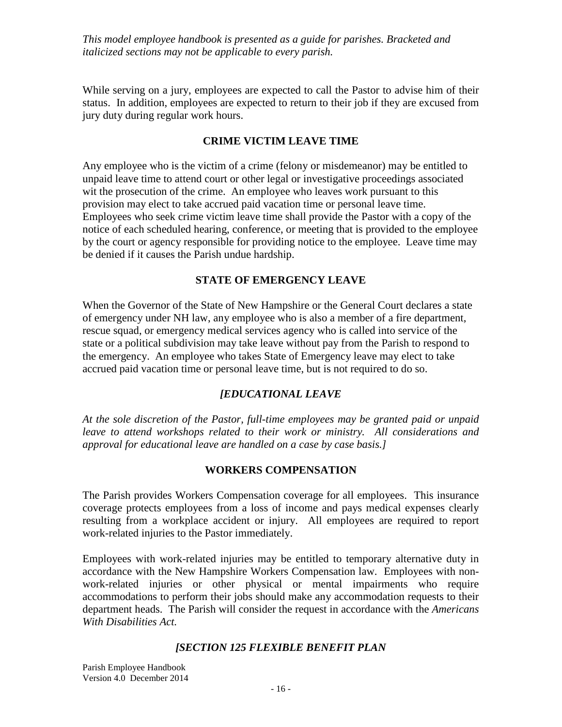While serving on a jury, employees are expected to call the Pastor to advise him of their status. In addition, employees are expected to return to their job if they are excused from jury duty during regular work hours.

## **CRIME VICTIM LEAVE TIME**

Any employee who is the victim of a crime (felony or misdemeanor) may be entitled to unpaid leave time to attend court or other legal or investigative proceedings associated wit the prosecution of the crime. An employee who leaves work pursuant to this provision may elect to take accrued paid vacation time or personal leave time. Employees who seek crime victim leave time shall provide the Pastor with a copy of the notice of each scheduled hearing, conference, or meeting that is provided to the employee by the court or agency responsible for providing notice to the employee. Leave time may be denied if it causes the Parish undue hardship.

## **STATE OF EMERGENCY LEAVE**

When the Governor of the State of New Hampshire or the General Court declares a state of emergency under NH law, any employee who is also a member of a fire department, rescue squad, or emergency medical services agency who is called into service of the state or a political subdivision may take leave without pay from the Parish to respond to the emergency. An employee who takes State of Emergency leave may elect to take accrued paid vacation time or personal leave time, but is not required to do so.

# *[EDUCATIONAL LEAVE*

*At the sole discretion of the Pastor, full-time employees may be granted paid or unpaid leave to attend workshops related to their work or ministry. All considerations and approval for educational leave are handled on a case by case basis.]*

## **WORKERS COMPENSATION**

The Parish provides Workers Compensation coverage for all employees. This insurance coverage protects employees from a loss of income and pays medical expenses clearly resulting from a workplace accident or injury. All employees are required to report work-related injuries to the Pastor immediately.

Employees with work-related injuries may be entitled to temporary alternative duty in accordance with the New Hampshire Workers Compensation law. Employees with nonwork-related injuries or other physical or mental impairments who require accommodations to perform their jobs should make any accommodation requests to their department heads. The Parish will consider the request in accordance with the *Americans With Disabilities Act.*

## *[SECTION 125 FLEXIBLE BENEFIT PLAN*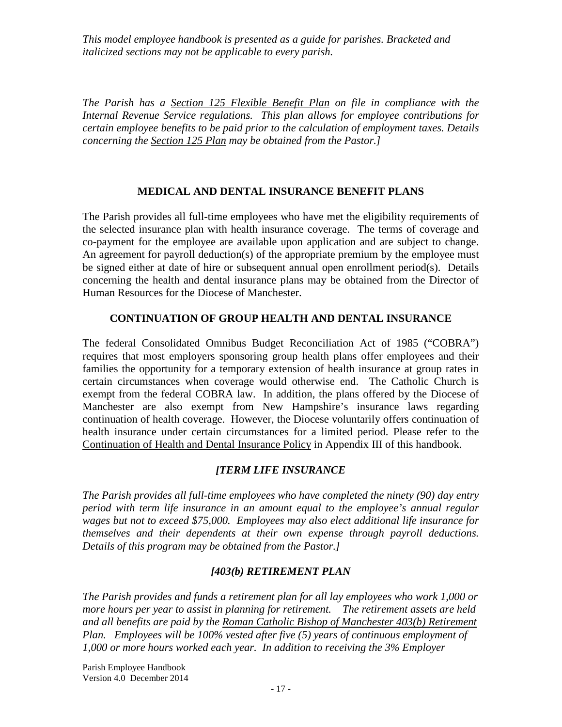*The Parish has a Section 125 Flexible Benefit Plan on file in compliance with the Internal Revenue Service regulations. This plan allows for employee contributions for certain employee benefits to be paid prior to the calculation of employment taxes. Details concerning the Section 125 Plan may be obtained from the Pastor.]*

## **MEDICAL AND DENTAL INSURANCE BENEFIT PLANS**

The Parish provides all full-time employees who have met the eligibility requirements of the selected insurance plan with health insurance coverage. The terms of coverage and co-payment for the employee are available upon application and are subject to change. An agreement for payroll deduction(s) of the appropriate premium by the employee must be signed either at date of hire or subsequent annual open enrollment period(s). Details concerning the health and dental insurance plans may be obtained from the Director of Human Resources for the Diocese of Manchester.

## **CONTINUATION OF GROUP HEALTH AND DENTAL INSURANCE**

The federal Consolidated Omnibus Budget Reconciliation Act of 1985 ("COBRA") requires that most employers sponsoring group health plans offer employees and their families the opportunity for a temporary extension of health insurance at group rates in certain circumstances when coverage would otherwise end. The Catholic Church is exempt from the federal COBRA law. In addition, the plans offered by the Diocese of Manchester are also exempt from New Hampshire's insurance laws regarding continuation of health coverage. However, the Diocese voluntarily offers continuation of health insurance under certain circumstances for a limited period. Please refer to the Continuation of Health and Dental Insurance Policy in Appendix III of this handbook.

## *[TERM LIFE INSURANCE*

*The Parish provides all full-time employees who have completed the ninety (90) day entry period with term life insurance in an amount equal to the employee's annual regular wages but not to exceed \$75,000. Employees may also elect additional life insurance for themselves and their dependents at their own expense through payroll deductions. Details of this program may be obtained from the Pastor.]*

## *[403(b) RETIREMENT PLAN*

*The Parish provides and funds a retirement plan for all lay employees who work 1,000 or more hours per year to assist in planning for retirement. The retirement assets are held and all benefits are paid by the Roman Catholic Bishop of Manchester 403(b) Retirement Plan. Employees will be 100% vested after five (5) years of continuous employment of 1,000 or more hours worked each year. In addition to receiving the 3% Employer*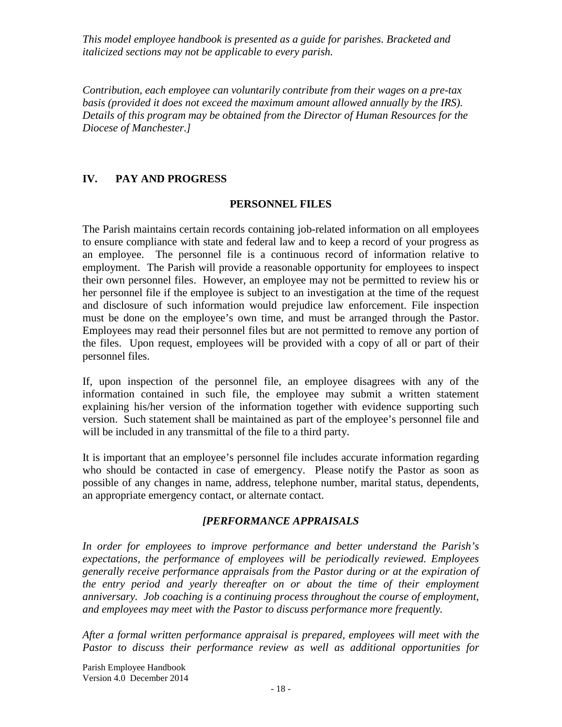*Contribution, each employee can voluntarily contribute from their wages on a pre-tax basis (provided it does not exceed the maximum amount allowed annually by the IRS). Details of this program may be obtained from the Director of Human Resources for the Diocese of Manchester.]*

## **IV. PAY AND PROGRESS**

## **PERSONNEL FILES**

The Parish maintains certain records containing job-related information on all employees to ensure compliance with state and federal law and to keep a record of your progress as an employee. The personnel file is a continuous record of information relative to employment. The Parish will provide a reasonable opportunity for employees to inspect their own personnel files. However, an employee may not be permitted to review his or her personnel file if the employee is subject to an investigation at the time of the request and disclosure of such information would prejudice law enforcement. File inspection must be done on the employee's own time, and must be arranged through the Pastor. Employees may read their personnel files but are not permitted to remove any portion of the files. Upon request, employees will be provided with a copy of all or part of their personnel files.

If, upon inspection of the personnel file, an employee disagrees with any of the information contained in such file, the employee may submit a written statement explaining his/her version of the information together with evidence supporting such version. Such statement shall be maintained as part of the employee's personnel file and will be included in any transmittal of the file to a third party.

It is important that an employee's personnel file includes accurate information regarding who should be contacted in case of emergency. Please notify the Pastor as soon as possible of any changes in name, address, telephone number, marital status, dependents, an appropriate emergency contact, or alternate contact.

## *[PERFORMANCE APPRAISALS*

*In order for employees to improve performance and better understand the Parish's expectations, the performance of employees will be periodically reviewed. Employees generally receive performance appraisals from the Pastor during or at the expiration of the entry period and yearly thereafter on or about the time of their employment anniversary. Job coaching is a continuing process throughout the course of employment, and employees may meet with the Pastor to discuss performance more frequently.*

*After a formal written performance appraisal is prepared, employees will meet with the Pastor to discuss their performance review as well as additional opportunities for*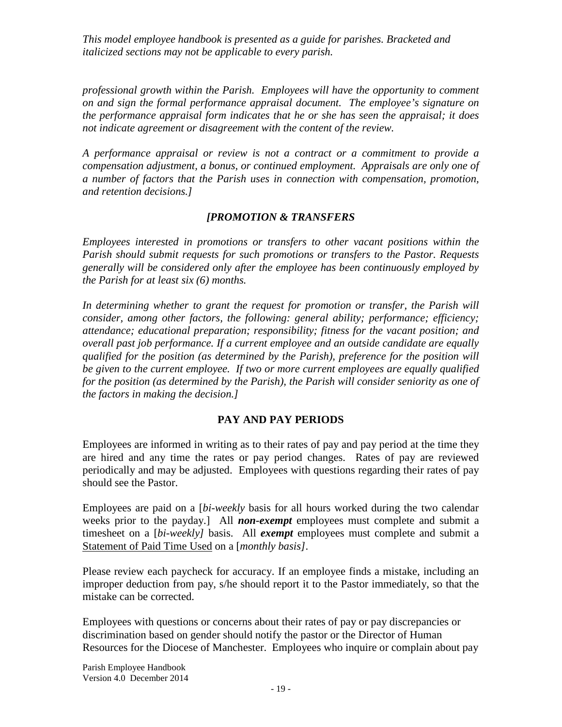*professional growth within the Parish. Employees will have the opportunity to comment on and sign the formal performance appraisal document. The employee's signature on the performance appraisal form indicates that he or she has seen the appraisal; it does not indicate agreement or disagreement with the content of the review.*

*A performance appraisal or review is not a contract or a commitment to provide a compensation adjustment, a bonus, or continued employment. Appraisals are only one of a number of factors that the Parish uses in connection with compensation, promotion, and retention decisions.]*

## *[PROMOTION & TRANSFERS*

*Employees interested in promotions or transfers to other vacant positions within the Parish should submit requests for such promotions or transfers to the Pastor. Requests generally will be considered only after the employee has been continuously employed by the Parish for at least six (6) months.*

*In determining whether to grant the request for promotion or transfer, the Parish will consider, among other factors, the following: general ability; performance; efficiency; attendance; educational preparation; responsibility; fitness for the vacant position; and overall past job performance. If a current employee and an outside candidate are equally qualified for the position (as determined by the Parish), preference for the position will be given to the current employee. If two or more current employees are equally qualified for the position (as determined by the Parish), the Parish will consider seniority as one of the factors in making the decision.]*

# **PAY AND PAY PERIODS**

Employees are informed in writing as to their rates of pay and pay period at the time they are hired and any time the rates or pay period changes. Rates of pay are reviewed periodically and may be adjusted. Employees with questions regarding their rates of pay should see the Pastor.

Employees are paid on a [*bi-weekly* basis for all hours worked during the two calendar weeks prior to the payday.] All *non-exempt* employees must complete and submit a timesheet on a [*bi-weekly]* basis. All *exempt* employees must complete and submit a Statement of Paid Time Used on a [*monthly basis]*.

Please review each paycheck for accuracy. If an employee finds a mistake, including an improper deduction from pay, s/he should report it to the Pastor immediately, so that the mistake can be corrected.

Employees with questions or concerns about their rates of pay or pay discrepancies or discrimination based on gender should notify the pastor or the Director of Human Resources for the Diocese of Manchester. Employees who inquire or complain about pay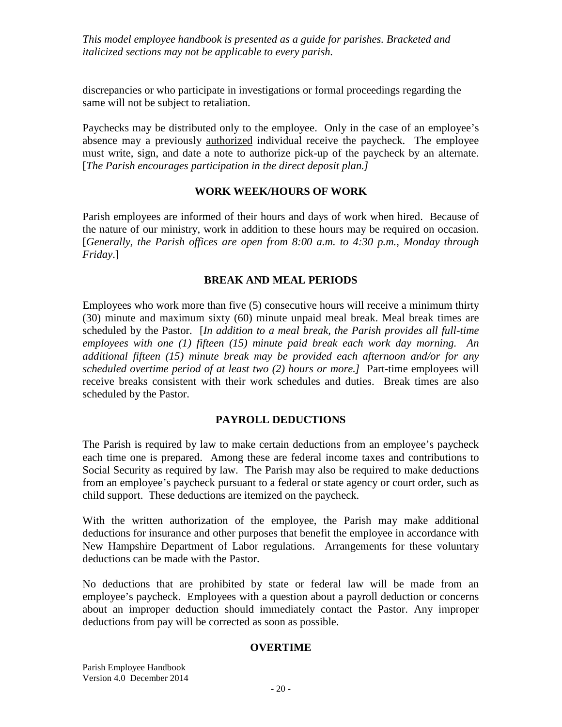discrepancies or who participate in investigations or formal proceedings regarding the same will not be subject to retaliation.

Paychecks may be distributed only to the employee. Only in the case of an employee's absence may a previously authorized individual receive the paycheck. The employee must write, sign, and date a note to authorize pick-up of the paycheck by an alternate. [*The Parish encourages participation in the direct deposit plan.]*

## **WORK WEEK/HOURS OF WORK**

Parish employees are informed of their hours and days of work when hired. Because of the nature of our ministry, work in addition to these hours may be required on occasion. [*Generally, the Parish offices are open from 8:00 a.m. to 4:30 p.m., Monday through Friday*.]

### **BREAK AND MEAL PERIODS**

Employees who work more than five (5) consecutive hours will receive a minimum thirty (30) minute and maximum sixty (60) minute unpaid meal break. Meal break times are scheduled by the Pastor. [*In addition to a meal break, the Parish provides all full-time employees with one (1) fifteen (15) minute paid break each work day morning. An additional fifteen (15) minute break may be provided each afternoon and/or for any scheduled overtime period of at least two (2) hours or more.]* Part-time employees will receive breaks consistent with their work schedules and duties. Break times are also scheduled by the Pastor.

## **PAYROLL DEDUCTIONS**

The Parish is required by law to make certain deductions from an employee's paycheck each time one is prepared. Among these are federal income taxes and contributions to Social Security as required by law. The Parish may also be required to make deductions from an employee's paycheck pursuant to a federal or state agency or court order, such as child support. These deductions are itemized on the paycheck.

With the written authorization of the employee, the Parish may make additional deductions for insurance and other purposes that benefit the employee in accordance with New Hampshire Department of Labor regulations. Arrangements for these voluntary deductions can be made with the Pastor.

No deductions that are prohibited by state or federal law will be made from an employee's paycheck. Employees with a question about a payroll deduction or concerns about an improper deduction should immediately contact the Pastor. Any improper deductions from pay will be corrected as soon as possible.

#### **OVERTIME**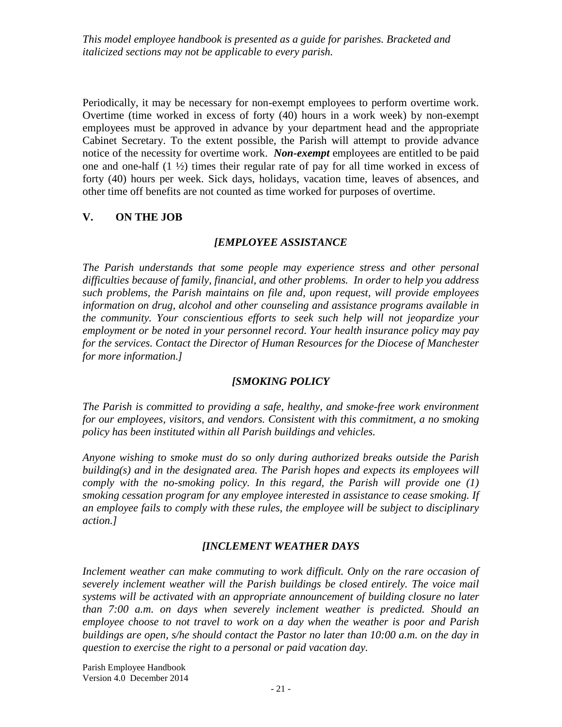Periodically, it may be necessary for non-exempt employees to perform overtime work. Overtime (time worked in excess of forty (40) hours in a work week) by non-exempt employees must be approved in advance by your department head and the appropriate Cabinet Secretary. To the extent possible, the Parish will attempt to provide advance notice of the necessity for overtime work. *Non-exempt* employees are entitled to be paid one and one-half (1 ½) times their regular rate of pay for all time worked in excess of forty (40) hours per week. Sick days, holidays, vacation time, leaves of absences, and other time off benefits are not counted as time worked for purposes of overtime.

## **V. ON THE JOB**

## *[EMPLOYEE ASSISTANCE*

*The Parish understands that some people may experience stress and other personal difficulties because of family, financial, and other problems. In order to help you address such problems, the Parish maintains on file and, upon request, will provide employees information on drug, alcohol and other counseling and assistance programs available in the community. Your conscientious efforts to seek such help will not jeopardize your employment or be noted in your personnel record. Your health insurance policy may pay for the services. Contact the Director of Human Resources for the Diocese of Manchester for more information.]*

# *[SMOKING POLICY*

*The Parish is committed to providing a safe, healthy, and smoke-free work environment for our employees, visitors, and vendors. Consistent with this commitment, a no smoking policy has been instituted within all Parish buildings and vehicles.*

*Anyone wishing to smoke must do so only during authorized breaks outside the Parish building(s) and in the designated area. The Parish hopes and expects its employees will comply with the no-smoking policy. In this regard, the Parish will provide one (1) smoking cessation program for any employee interested in assistance to cease smoking. If an employee fails to comply with these rules, the employee will be subject to disciplinary action.]*

## *[INCLEMENT WEATHER DAYS*

Inclement weather can make commuting to work difficult. Only on the rare occasion of *severely inclement weather will the Parish buildings be closed entirely. The voice mail systems will be activated with an appropriate announcement of building closure no later than 7:00 a.m. on days when severely inclement weather is predicted. Should an employee choose to not travel to work on a day when the weather is poor and Parish buildings are open, s/he should contact the Pastor no later than 10:00 a.m. on the day in question to exercise the right to a personal or paid vacation day.*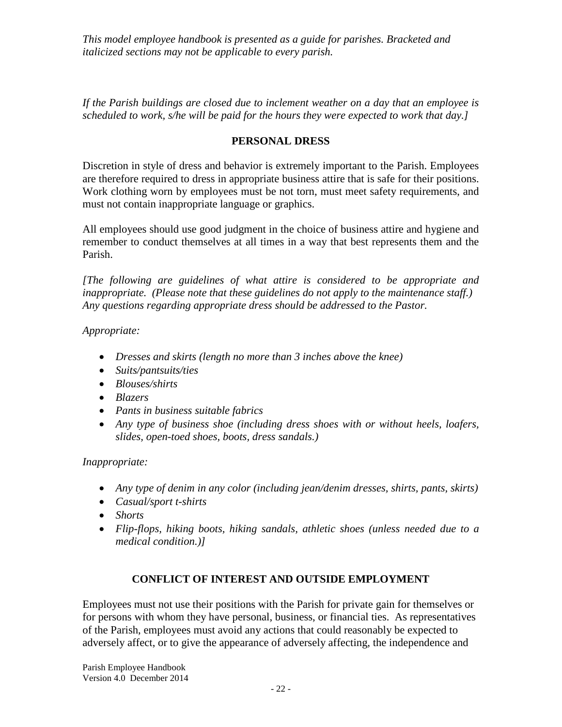*If the Parish buildings are closed due to inclement weather on a day that an employee is scheduled to work, s/he will be paid for the hours they were expected to work that day.]*

## **PERSONAL DRESS**

Discretion in style of dress and behavior is extremely important to the Parish. Employees are therefore required to dress in appropriate business attire that is safe for their positions. Work clothing worn by employees must be not torn, must meet safety requirements, and must not contain inappropriate language or graphics.

All employees should use good judgment in the choice of business attire and hygiene and remember to conduct themselves at all times in a way that best represents them and the Parish.

*[The following are guidelines of what attire is considered to be appropriate and inappropriate. (Please note that these guidelines do not apply to the maintenance staff.) Any questions regarding appropriate dress should be addressed to the Pastor.*

*Appropriate:*

- *Dresses and skirts (length no more than 3 inches above the knee)*
- *Suits/pantsuits/ties*
- *Blouses/shirts*
- *Blazers*
- *Pants in business suitable fabrics*
- *Any type of business shoe (including dress shoes with or without heels, loafers, slides, open-toed shoes, boots, dress sandals.)*

*Inappropriate:*

- *Any type of denim in any color (including jean/denim dresses, shirts, pants, skirts)*
- *Casual/sport t-shirts*
- *Shorts*
- *Flip-flops, hiking boots, hiking sandals, athletic shoes (unless needed due to a medical condition.)]*

## **CONFLICT OF INTEREST AND OUTSIDE EMPLOYMENT**

Employees must not use their positions with the Parish for private gain for themselves or for persons with whom they have personal, business, or financial ties. As representatives of the Parish, employees must avoid any actions that could reasonably be expected to adversely affect, or to give the appearance of adversely affecting, the independence and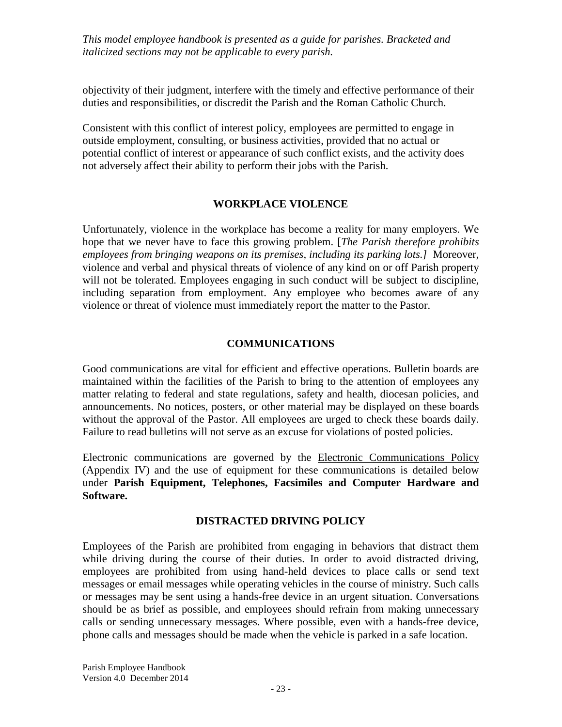objectivity of their judgment, interfere with the timely and effective performance of their duties and responsibilities, or discredit the Parish and the Roman Catholic Church.

Consistent with this conflict of interest policy, employees are permitted to engage in outside employment, consulting, or business activities, provided that no actual or potential conflict of interest or appearance of such conflict exists, and the activity does not adversely affect their ability to perform their jobs with the Parish.

### **WORKPLACE VIOLENCE**

Unfortunately, violence in the workplace has become a reality for many employers. We hope that we never have to face this growing problem. [*The Parish therefore prohibits employees from bringing weapons on its premises, including its parking lots.]* Moreover, violence and verbal and physical threats of violence of any kind on or off Parish property will not be tolerated. Employees engaging in such conduct will be subject to discipline, including separation from employment. Any employee who becomes aware of any violence or threat of violence must immediately report the matter to the Pastor.

### **COMMUNICATIONS**

Good communications are vital for efficient and effective operations. Bulletin boards are maintained within the facilities of the Parish to bring to the attention of employees any matter relating to federal and state regulations, safety and health, diocesan policies, and announcements. No notices, posters, or other material may be displayed on these boards without the approval of the Pastor. All employees are urged to check these boards daily. Failure to read bulletins will not serve as an excuse for violations of posted policies.

Electronic communications are governed by the Electronic Communications Policy (Appendix IV) and the use of equipment for these communications is detailed below under **Parish Equipment, Telephones, Facsimiles and Computer Hardware and Software.**

#### **DISTRACTED DRIVING POLICY**

Employees of the Parish are prohibited from engaging in behaviors that distract them while driving during the course of their duties. In order to avoid distracted driving, employees are prohibited from using hand-held devices to place calls or send text messages or email messages while operating vehicles in the course of ministry. Such calls or messages may be sent using a hands-free device in an urgent situation. Conversations should be as brief as possible, and employees should refrain from making unnecessary calls or sending unnecessary messages. Where possible, even with a hands-free device, phone calls and messages should be made when the vehicle is parked in a safe location.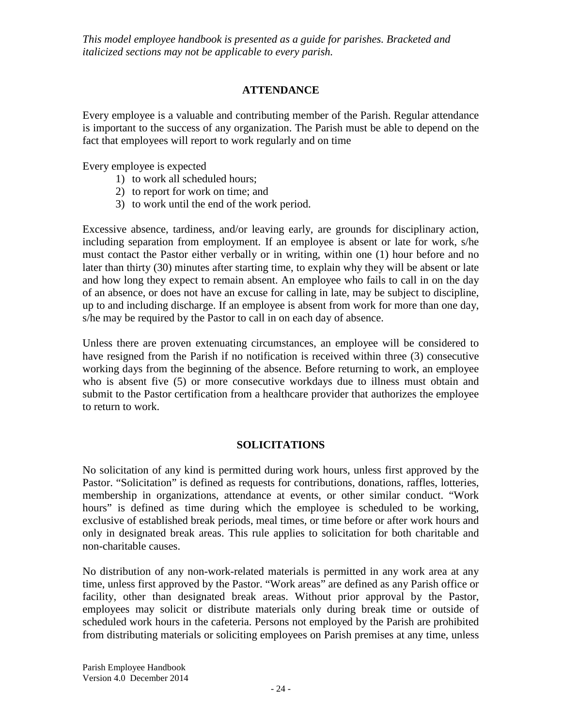# **ATTENDANCE**

Every employee is a valuable and contributing member of the Parish. Regular attendance is important to the success of any organization. The Parish must be able to depend on the fact that employees will report to work regularly and on time

Every employee is expected

- 1) to work all scheduled hours;
- 2) to report for work on time; and
- 3) to work until the end of the work period.

Excessive absence, tardiness, and/or leaving early, are grounds for disciplinary action, including separation from employment. If an employee is absent or late for work, s/he must contact the Pastor either verbally or in writing, within one (1) hour before and no later than thirty (30) minutes after starting time, to explain why they will be absent or late and how long they expect to remain absent. An employee who fails to call in on the day of an absence, or does not have an excuse for calling in late, may be subject to discipline, up to and including discharge. If an employee is absent from work for more than one day, s/he may be required by the Pastor to call in on each day of absence.

Unless there are proven extenuating circumstances, an employee will be considered to have resigned from the Parish if no notification is received within three (3) consecutive working days from the beginning of the absence. Before returning to work, an employee who is absent five (5) or more consecutive workdays due to illness must obtain and submit to the Pastor certification from a healthcare provider that authorizes the employee to return to work.

## **SOLICITATIONS**

No solicitation of any kind is permitted during work hours, unless first approved by the Pastor. "Solicitation" is defined as requests for contributions, donations, raffles, lotteries, membership in organizations, attendance at events, or other similar conduct. "Work hours" is defined as time during which the employee is scheduled to be working, exclusive of established break periods, meal times, or time before or after work hours and only in designated break areas. This rule applies to solicitation for both charitable and non-charitable causes.

No distribution of any non-work-related materials is permitted in any work area at any time, unless first approved by the Pastor. "Work areas" are defined as any Parish office or facility, other than designated break areas. Without prior approval by the Pastor, employees may solicit or distribute materials only during break time or outside of scheduled work hours in the cafeteria. Persons not employed by the Parish are prohibited from distributing materials or soliciting employees on Parish premises at any time, unless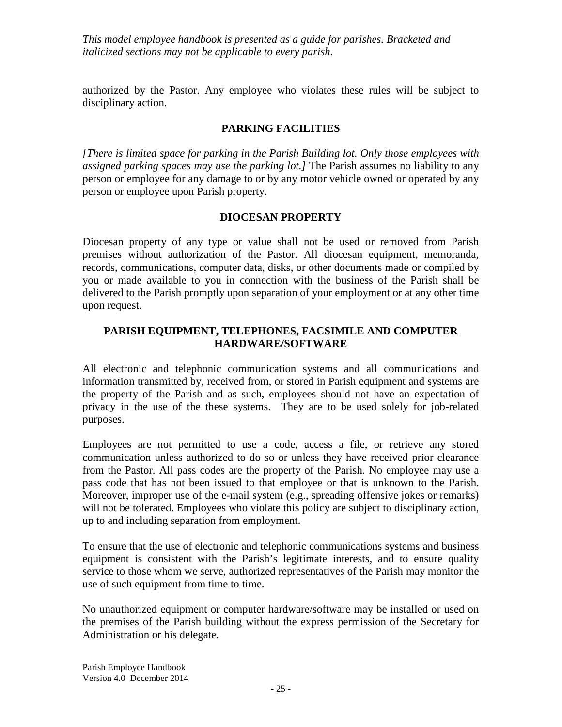authorized by the Pastor. Any employee who violates these rules will be subject to disciplinary action.

## **PARKING FACILITIES**

*[There is limited space for parking in the Parish Building lot. Only those employees with assigned parking spaces may use the parking lot.]* The Parish assumes no liability to any person or employee for any damage to or by any motor vehicle owned or operated by any person or employee upon Parish property.

### **DIOCESAN PROPERTY**

Diocesan property of any type or value shall not be used or removed from Parish premises without authorization of the Pastor. All diocesan equipment, memoranda, records, communications, computer data, disks, or other documents made or compiled by you or made available to you in connection with the business of the Parish shall be delivered to the Parish promptly upon separation of your employment or at any other time upon request.

## **PARISH EQUIPMENT, TELEPHONES, FACSIMILE AND COMPUTER HARDWARE/SOFTWARE**

All electronic and telephonic communication systems and all communications and information transmitted by, received from, or stored in Parish equipment and systems are the property of the Parish and as such, employees should not have an expectation of privacy in the use of the these systems. They are to be used solely for job-related purposes.

Employees are not permitted to use a code, access a file, or retrieve any stored communication unless authorized to do so or unless they have received prior clearance from the Pastor. All pass codes are the property of the Parish. No employee may use a pass code that has not been issued to that employee or that is unknown to the Parish. Moreover, improper use of the e-mail system (e.g., spreading offensive jokes or remarks) will not be tolerated. Employees who violate this policy are subject to disciplinary action, up to and including separation from employment.

To ensure that the use of electronic and telephonic communications systems and business equipment is consistent with the Parish's legitimate interests, and to ensure quality service to those whom we serve, authorized representatives of the Parish may monitor the use of such equipment from time to time.

No unauthorized equipment or computer hardware/software may be installed or used on the premises of the Parish building without the express permission of the Secretary for Administration or his delegate.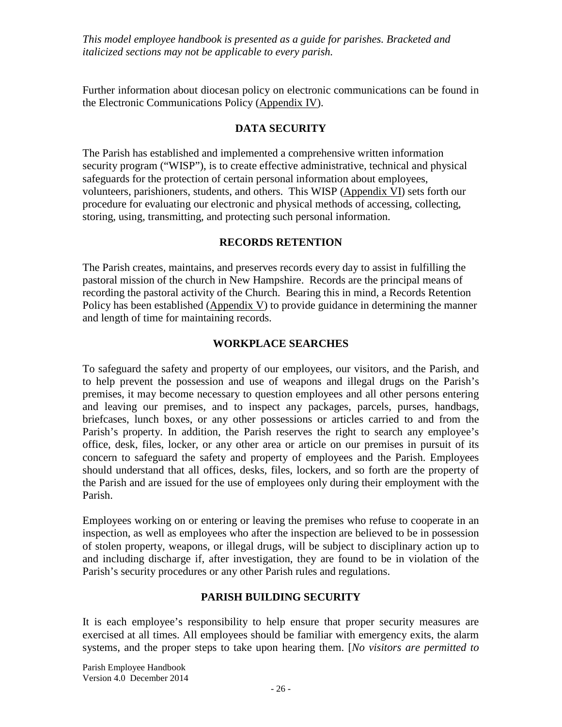Further information about diocesan policy on electronic communications can be found in the Electronic Communications Policy (Appendix IV).

## **DATA SECURITY**

The Parish has established and implemented a comprehensive written information security program ("WISP"), is to create effective administrative, technical and physical safeguards for the protection of certain personal information about employees, volunteers, parishioners, students, and others. This WISP (Appendix VI) sets forth our procedure for evaluating our electronic and physical methods of accessing, collecting, storing, using, transmitting, and protecting such personal information.

### **RECORDS RETENTION**

The Parish creates, maintains, and preserves records every day to assist in fulfilling the pastoral mission of the church in New Hampshire. Records are the principal means of recording the pastoral activity of the Church. Bearing this in mind, a Records Retention Policy has been established (Appendix V) to provide guidance in determining the manner and length of time for maintaining records.

## **WORKPLACE SEARCHES**

To safeguard the safety and property of our employees, our visitors, and the Parish, and to help prevent the possession and use of weapons and illegal drugs on the Parish's premises, it may become necessary to question employees and all other persons entering and leaving our premises, and to inspect any packages, parcels, purses, handbags, briefcases, lunch boxes, or any other possessions or articles carried to and from the Parish's property. In addition, the Parish reserves the right to search any employee's office, desk, files, locker, or any other area or article on our premises in pursuit of its concern to safeguard the safety and property of employees and the Parish. Employees should understand that all offices, desks, files, lockers, and so forth are the property of the Parish and are issued for the use of employees only during their employment with the Parish.

Employees working on or entering or leaving the premises who refuse to cooperate in an inspection, as well as employees who after the inspection are believed to be in possession of stolen property, weapons, or illegal drugs, will be subject to disciplinary action up to and including discharge if, after investigation, they are found to be in violation of the Parish's security procedures or any other Parish rules and regulations.

## **PARISH BUILDING SECURITY**

It is each employee's responsibility to help ensure that proper security measures are exercised at all times. All employees should be familiar with emergency exits, the alarm systems, and the proper steps to take upon hearing them. [*No visitors are permitted to*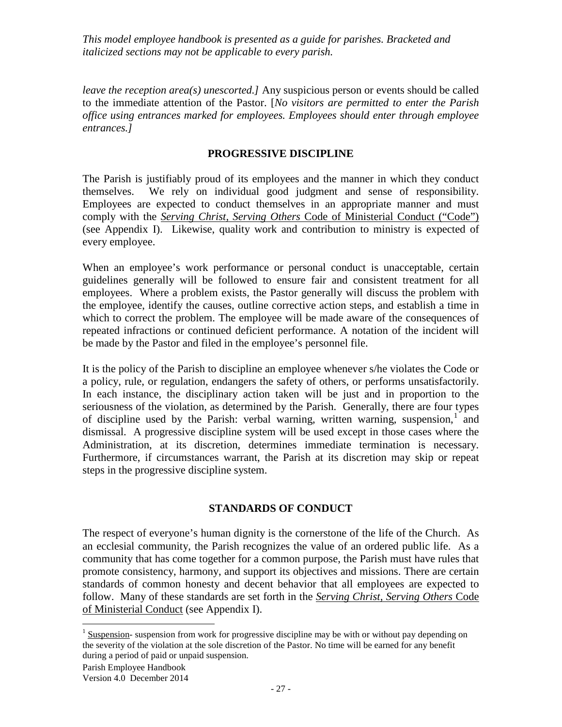*leave the reception area(s) unescorted.]* Any suspicious person or events should be called to the immediate attention of the Pastor. [*No visitors are permitted to enter the Parish office using entrances marked for employees. Employees should enter through employee entrances.]*

### **PROGRESSIVE DISCIPLINE**

The Parish is justifiably proud of its employees and the manner in which they conduct themselves. We rely on individual good judgment and sense of responsibility. Employees are expected to conduct themselves in an appropriate manner and must comply with the *Serving Christ, Serving Others* Code of Ministerial Conduct ("Code") (see Appendix I). Likewise, quality work and contribution to ministry is expected of every employee.

When an employee's work performance or personal conduct is unacceptable, certain guidelines generally will be followed to ensure fair and consistent treatment for all employees. Where a problem exists, the Pastor generally will discuss the problem with the employee, identify the causes, outline corrective action steps, and establish a time in which to correct the problem. The employee will be made aware of the consequences of repeated infractions or continued deficient performance. A notation of the incident will be made by the Pastor and filed in the employee's personnel file.

It is the policy of the Parish to discipline an employee whenever s/he violates the Code or a policy, rule, or regulation, endangers the safety of others, or performs unsatisfactorily. In each instance, the disciplinary action taken will be just and in proportion to the seriousness of the violation, as determined by the Parish. Generally, there are four types of discipline used by the Parish: verbal warning, written warning, suspension,  $1$  and dismissal. A progressive discipline system will be used except in those cases where the Administration, at its discretion, determines immediate termination is necessary. Furthermore, if circumstances warrant, the Parish at its discretion may skip or repeat steps in the progressive discipline system.

## **STANDARDS OF CONDUCT**

The respect of everyone's human dignity is the cornerstone of the life of the Church. As an ecclesial community, the Parish recognizes the value of an ordered public life. As a community that has come together for a common purpose, the Parish must have rules that promote consistency, harmony, and support its objectives and missions. There are certain standards of common honesty and decent behavior that all employees are expected to follow. Many of these standards are set forth in the *Serving Christ, Serving Others* Code of Ministerial Conduct (see Appendix I).

<span id="page-26-0"></span><sup>&</sup>lt;sup>1</sup> Suspension- suspension from work for progressive discipline may be with or without pay depending on the severity of the violation at the sole discretion of the Pastor. No time will be earned for any benefit during a period of paid or unpaid suspension.

Parish Employee Handbook

Version 4.0 December 2014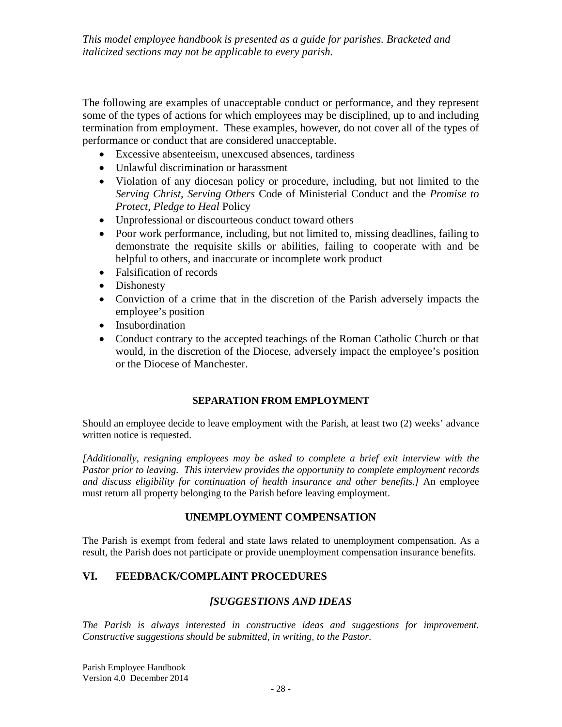The following are examples of unacceptable conduct or performance, and they represent some of the types of actions for which employees may be disciplined, up to and including termination from employment. These examples, however, do not cover all of the types of performance or conduct that are considered unacceptable.

- Excessive absenteeism, unexcused absences, tardiness
- Unlawful discrimination or harassment
- Violation of any diocesan policy or procedure, including, but not limited to the *Serving Christ, Serving Others* Code of Ministerial Conduct and the *Promise to Protect, Pledge to Heal* Policy
- Unprofessional or discourteous conduct toward others
- Poor work performance, including, but not limited to, missing deadlines, failing to demonstrate the requisite skills or abilities, failing to cooperate with and be helpful to others, and inaccurate or incomplete work product
- Falsification of records
- Dishonesty
- Conviction of a crime that in the discretion of the Parish adversely impacts the employee's position
- Insubordination
- Conduct contrary to the accepted teachings of the Roman Catholic Church or that would, in the discretion of the Diocese, adversely impact the employee's position or the Diocese of Manchester.

## **SEPARATION FROM EMPLOYMENT**

Should an employee decide to leave employment with the Parish, at least two (2) weeks' advance written notice is requested.

*[Additionally, resigning employees may be asked to complete a brief exit interview with the Pastor prior to leaving. This interview provides the opportunity to complete employment records and discuss eligibility for continuation of health insurance and other benefits.]* An employee must return all property belonging to the Parish before leaving employment.

## **UNEMPLOYMENT COMPENSATION**

The Parish is exempt from federal and state laws related to unemployment compensation. As a result, the Parish does not participate or provide unemployment compensation insurance benefits.

# **VI. FEEDBACK/COMPLAINT PROCEDURES**

# *[SUGGESTIONS AND IDEAS*

*The Parish is always interested in constructive ideas and suggestions for improvement. Constructive suggestions should be submitted, in writing, to the Pastor.*